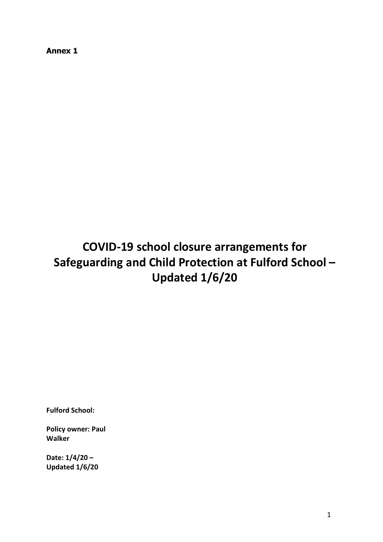**Annex 1**

# **COVID-19 school closure arrangements for Safeguarding and Child Protection at Fulford School – Updated 1/6/20**

**Fulford School:** 

**Policy owner: Paul Walker**

**Date: 1/4/20 – Updated 1/6/20**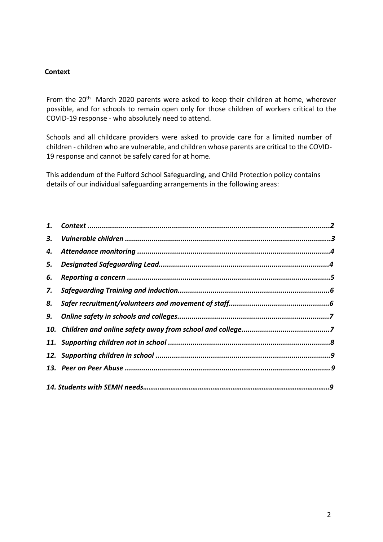#### **Context**

From the 20<sup>th</sup> March 2020 parents were asked to keep their children at home, wherever possible, and for schools to remain open only for those children of workers critical to the COVID-19 response - who absolutely need to attend.

Schools and all childcare providers were asked to provide care for a limited number of children - children who are vulnerable, and children whose parents are critical to the COVID-19 response and cannot be safely cared for at home.

This addendum of the Fulford School Safeguarding, and Child Protection policy contains details of our individual safeguarding arrangements in the following areas:

| 3. |  |
|----|--|
| 4. |  |
| 5. |  |
| 6. |  |
| 7. |  |
| 8. |  |
|    |  |
|    |  |
|    |  |
|    |  |
|    |  |
|    |  |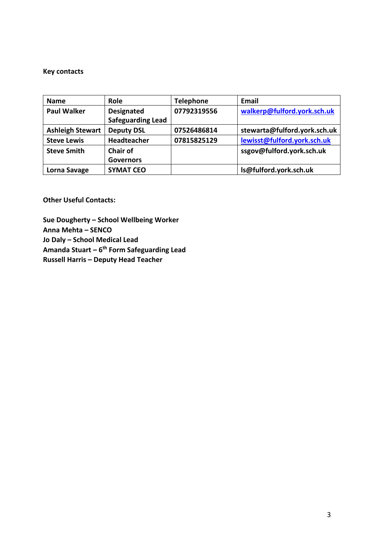#### **Key contacts**

| <b>Name</b>             | <b>Role</b>                                   | <b>Telephone</b> | <b>Email</b>                 |
|-------------------------|-----------------------------------------------|------------------|------------------------------|
| <b>Paul Walker</b>      | <b>Designated</b><br><b>Safeguarding Lead</b> | 07792319556      | walkerp@fulford.york.sch.uk  |
| <b>Ashleigh Stewart</b> | <b>Deputy DSL</b>                             | 07526486814      | stewarta@fulford.york.sch.uk |
| <b>Steve Lewis</b>      | Headteacher                                   | 07815825129      | lewisst@fulford.york.sch.uk  |
| <b>Steve Smith</b>      | <b>Chair of</b><br><b>Governors</b>           |                  | ssgov@fulford.york.sch.uk    |
| Lorna Savage            | <b>SYMAT CEO</b>                              |                  | Is@fulford.york.sch.uk       |

**Other Useful Contacts:**

**Sue Dougherty – School Wellbeing Worker Anna Mehta – SENCO Jo Daly – School Medical Lead Amanda Stuart – 6 th Form Safeguarding Lead Russell Harris – Deputy Head Teacher**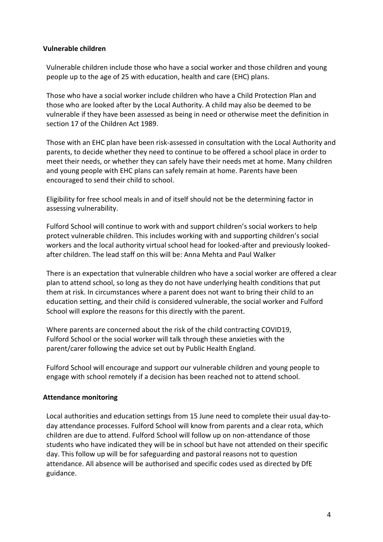#### **Vulnerable children**

Vulnerable children include those who have a social worker and those children and young people up to the age of 25 with education, health and care (EHC) plans.

Those who have a social worker include children who have a Child Protection Plan and those who are looked after by the Local Authority. A child may also be deemed to be vulnerable if they have been assessed as being in need or otherwise meet the definition in section 17 of the Children Act 1989.

Those with an EHC plan have been risk-assessed in consultation with the Local Authority and parents, to decide whether they need to continue to be offered a school place in order to meet their needs, or whether they can safely have their needs met at home. Many children and young people with EHC plans can safely remain at home. Parents have been encouraged to send their child to school.

Eligibility for free school meals in and of itself should not be the determining factor in assessing vulnerability.

Fulford School will continue to work with and support children's social workers to help protect vulnerable children. This includes working with and supporting children's social workers and the local authority virtual school head for looked-after and previously lookedafter children. The lead staff on this will be: Anna Mehta and Paul Walker

There is an expectation that vulnerable children who have a social worker are offered a clear plan to attend school, so long as they do not have underlying health conditions that put them at risk. In circumstances where a parent does not want to bring their child to an education setting, and their child is considered vulnerable, the social worker and Fulford School will explore the reasons for this directly with the parent.

Where parents are concerned about the risk of the child contracting COVID19, Fulford School or the social worker will talk through these anxieties with the parent/carer following the advice set out by Public Health England.

Fulford School will encourage and support our vulnerable children and young people to engage with school remotely if a decision has been reached not to attend school.

# **Attendance monitoring**

Local authorities and education settings from 15 June need to complete their usual day-today attendance processes. Fulford School will know from parents and a clear rota, which children are due to attend. Fulford School will follow up on non-attendance of those students who have indicated they will be in school but have not attended on their specific day. This follow up will be for safeguarding and pastoral reasons not to question attendance. All absence will be authorised and specific codes used as directed by DfE guidance.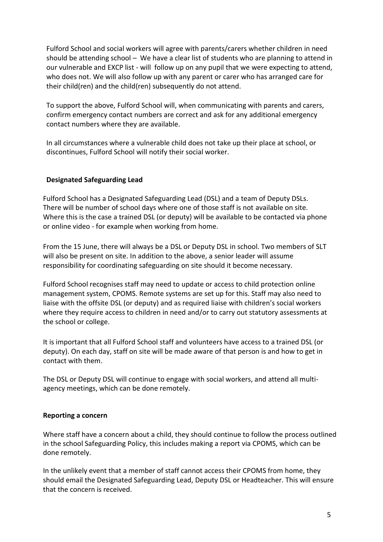Fulford School and social workers will agree with parents/carers whether children in need should be attending school – We have a clear list of students who are planning to attend in our vulnerable and EXCP list - will follow up on any pupil that we were expecting to attend, who does not. We will also follow up with any parent or carer who has arranged care for their child(ren) and the child(ren) subsequently do not attend.

To support the above, Fulford School will, when communicating with parents and carers, confirm emergency contact numbers are correct and ask for any additional emergency contact numbers where they are available.

In all circumstances where a vulnerable child does not take up their place at school, or discontinues, Fulford School will notify their social worker.

# **Designated Safeguarding Lead**

Fulford School has a Designated Safeguarding Lead (DSL) and a team of Deputy DSLs. There will be number of school days where one of those staff is not available on site. Where this is the case a trained DSL (or deputy) will be available to be contacted via phone or online video - for example when working from home.

From the 15 June, there will always be a DSL or Deputy DSL in school. Two members of SLT will also be present on site. In addition to the above, a senior leader will assume responsibility for coordinating safeguarding on site should it become necessary.

Fulford School recognises staff may need to update or access to child protection online management system, CPOMS. Remote systems are set up for this. Staff may also need to liaise with the offsite DSL (or deputy) and as required liaise with children's social workers where they require access to children in need and/or to carry out statutory assessments at the school or college.

It is important that all Fulford School staff and volunteers have access to a trained DSL (or deputy). On each day, staff on site will be made aware of that person is and how to get in contact with them.

The DSL or Deputy DSL will continue to engage with social workers, and attend all multiagency meetings, which can be done remotely.

# **Reporting a concern**

Where staff have a concern about a child, they should continue to follow the process outlined in the school Safeguarding Policy, this includes making a report via CPOMS, which can be done remotely.

In the unlikely event that a member of staff cannot access their CPOMS from home, they should email the Designated Safeguarding Lead, Deputy DSL or Headteacher. This will ensure that the concern is received.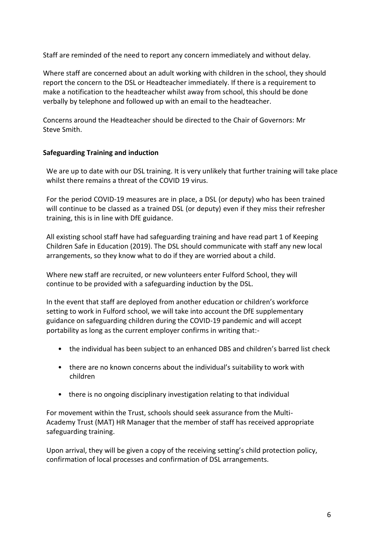Staff are reminded of the need to report any concern immediately and without delay.

Where staff are concerned about an adult working with children in the school, they should report the concern to the DSL or Headteacher immediately. If there is a requirement to make a notification to the headteacher whilst away from school, this should be done verbally by telephone and followed up with an email to the headteacher.

Concerns around the Headteacher should be directed to the Chair of Governors: Mr Steve Smith.

# **Safeguarding Training and induction**

We are up to date with our DSL training. It is very unlikely that further training will take place whilst there remains a threat of the COVID 19 virus.

For the period COVID-19 measures are in place, a DSL (or deputy) who has been trained will continue to be classed as a trained DSL (or deputy) even if they miss their refresher training, this is in line with DfE guidance.

All existing school staff have had safeguarding training and have read part 1 of Keeping Children Safe in Education (2019). The DSL should communicate with staff any new local arrangements, so they know what to do if they are worried about a child.

Where new staff are recruited, or new volunteers enter Fulford School, they will continue to be provided with a safeguarding induction by the DSL.

In the event that staff are deployed from another education or children's workforce setting to work in Fulford school, we will take into account the DfE supplementary guidance on safeguarding children during the COVID-19 pandemic and will accept portability as long as the current employer confirms in writing that:-

- the individual has been subject to an enhanced DBS and children's barred list check
- there are no known concerns about the individual's suitability to work with children
- there is no ongoing disciplinary investigation relating to that individual

For movement within the Trust, schools should seek assurance from the Multi-Academy Trust (MAT) HR Manager that the member of staff has received appropriate safeguarding training.

Upon arrival, they will be given a copy of the receiving setting's child protection policy, confirmation of local processes and confirmation of DSL arrangements.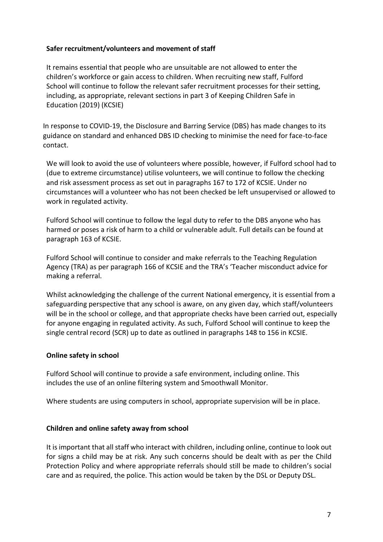#### **Safer recruitment/volunteers and movement of staff**

It remains essential that people who are unsuitable are not allowed to enter the children's workforce or gain access to children. When recruiting new staff, Fulford School will continue to follow the relevant safer recruitment processes for their setting, including, as appropriate, relevant sections in part 3 of Keeping Children Safe in Education (2019) (KCSIE)

In response to COVID-19, the Disclosure and Barring Service (DBS) has made changes to its guidance on standard and enhanced DBS ID checking to minimise the need for face-to-face contact.

We will look to avoid the use of volunteers where possible, however, if Fulford school had to (due to extreme circumstance) utilise volunteers, we will continue to follow the checking and risk assessment process as set out in paragraphs 167 to 172 of KCSIE. Under no circumstances will a volunteer who has not been checked be left unsupervised or allowed to work in regulated activity.

Fulford School will continue to follow the legal duty to refer to the DBS anyone who has harmed or poses a risk of harm to a child or vulnerable adult. Full details can be found at paragraph 163 of KCSIE.

Fulford School will continue to consider and make referrals to the Teaching Regulation Agency (TRA) as per paragraph 166 of KCSIE and the TRA's 'Teacher misconduct advice for making a referral.

Whilst acknowledging the challenge of the current National emergency, it is essential from a safeguarding perspective that any school is aware, on any given day, which staff/volunteers will be in the school or college, and that appropriate checks have been carried out, especially for anyone engaging in regulated activity. As such, Fulford School will continue to keep the single central record (SCR) up to date as outlined in paragraphs 148 to 156 in KCSIE.

#### **Online safety in school**

Fulford School will continue to provide a safe environment, including online. This includes the use of an online filtering system and Smoothwall Monitor.

Where students are using computers in school, appropriate supervision will be in place.

# **Children and online safety away from school**

It is important that all staff who interact with children, including online, continue to look out for signs a child may be at risk. Any such concerns should be dealt with as per the Child Protection Policy and where appropriate referrals should still be made to children's social care and as required, the police. This action would be taken by the DSL or Deputy DSL.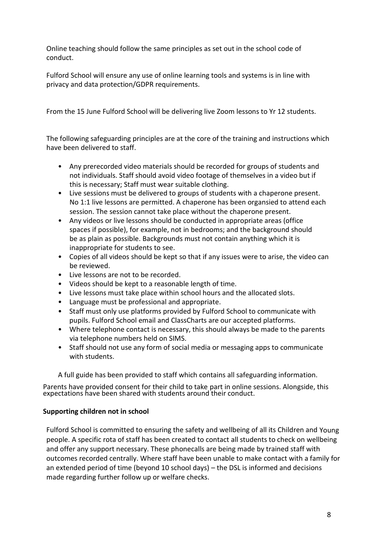Online teaching should follow the same principles as set out in the school code of conduct.

Fulford School will ensure any use of online learning tools and systems is in line with privacy and data protection/GDPR requirements.

From the 15 June Fulford School will be delivering live Zoom lessons to Yr 12 students.

The following safeguarding principles are at the core of the training and instructions which have been delivered to staff.

- Any prerecorded video materials should be recorded for groups of students and not individuals. Staff should avoid video footage of themselves in a video but if this is necessary; Staff must wear suitable clothing.
- Live sessions must be delivered to groups of students with a chaperone present. No 1:1 live lessons are permitted. A chaperone has been organsied to attend each session. The session cannot take place without the chaperone present.
- Any videos or live lessons should be conducted in appropriate areas (office spaces if possible), for example, not in bedrooms; and the background should be as plain as possible. Backgrounds must not contain anything which it is inappropriate for students to see.
- Copies of all videos should be kept so that if any issues were to arise, the video can be reviewed.
- Live lessons are not to be recorded.
- Videos should be kept to a reasonable length of time.
- Live lessons must take place within school hours and the allocated slots.
- Language must be professional and appropriate.
- Staff must only use platforms provided by Fulford School to communicate with pupils. Fulford School email and ClassCharts are our accepted platforms.
- Where telephone contact is necessary, this should always be made to the parents via telephone numbers held on SIMS.
- Staff should not use any form of social media or messaging apps to communicate with students.

A full guide has been provided to staff which contains all safeguarding information.

Parents have provided consent for their child to take part in online sessions. Alongside, this expectations have been shared with students around their conduct.

# **Supporting children not in school**

Fulford School is committed to ensuring the safety and wellbeing of all its Children and Young people. A specific rota of staff has been created to contact all students to check on wellbeing and offer any support necessary. These phonecalls are being made by trained staff with outcomes recorded centrally. Where staff have been unable to make contact with a family for an extended period of time (beyond 10 school days) – the DSL is informed and decisions made regarding further follow up or welfare checks.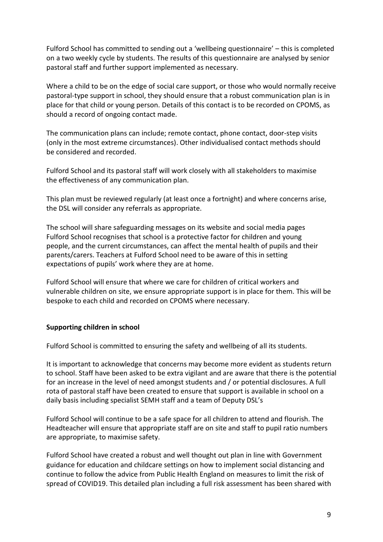Fulford School has committed to sending out a 'wellbeing questionnaire' – this is completed on a two weekly cycle by students. The results of this questionnaire are analysed by senior pastoral staff and further support implemented as necessary.

Where a child to be on the edge of social care support, or those who would normally receive pastoral-type support in school, they should ensure that a robust communication plan is in place for that child or young person. Details of this contact is to be recorded on CPOMS, as should a record of ongoing contact made.

The communication plans can include; remote contact, phone contact, door-step visits (only in the most extreme circumstances). Other individualised contact methods should be considered and recorded.

Fulford School and its pastoral staff will work closely with all stakeholders to maximise the effectiveness of any communication plan.

This plan must be reviewed regularly (at least once a fortnight) and where concerns arise, the DSL will consider any referrals as appropriate.

The school will share safeguarding messages on its website and social media pages Fulford School recognises that school is a protective factor for children and young people, and the current circumstances, can affect the mental health of pupils and their parents/carers. Teachers at Fulford School need to be aware of this in setting expectations of pupils' work where they are at home.

Fulford School will ensure that where we care for children of critical workers and vulnerable children on site, we ensure appropriate support is in place for them. This will be bespoke to each child and recorded on CPOMS where necessary.

# **Supporting children in school**

Fulford School is committed to ensuring the safety and wellbeing of all its students.

It is important to acknowledge that concerns may become more evident as students return to school. Staff have been asked to be extra vigilant and are aware that there is the potential for an increase in the level of need amongst students and / or potential disclosures. A full rota of pastoral staff have been created to ensure that support is available in school on a daily basis including specialist SEMH staff and a team of Deputy DSL's

Fulford School will continue to be a safe space for all children to attend and flourish. The Headteacher will ensure that appropriate staff are on site and staff to pupil ratio numbers are appropriate, to maximise safety.

Fulford School have created a robust and well thought out plan in line with Government guidance for education and childcare settings on how to implement social distancing and continue to follow the advice from Public Health England on measures to limit the risk of spread of COVID19. This detailed plan including a full risk assessment has been shared with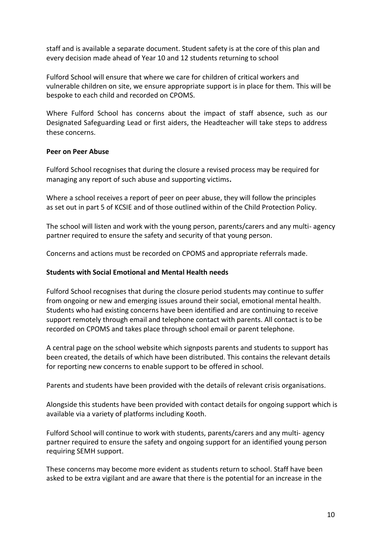staff and is available a separate document. Student safety is at the core of this plan and every decision made ahead of Year 10 and 12 students returning to school

Fulford School will ensure that where we care for children of critical workers and vulnerable children on site, we ensure appropriate support is in place for them. This will be bespoke to each child and recorded on CPOMS.

Where Fulford School has concerns about the impact of staff absence, such as our Designated Safeguarding Lead or first aiders, the Headteacher will take steps to address these concerns.

#### **Peer on Peer Abuse**

Fulford School recognises that during the closure a revised process may be required for managing any report of such abuse and supporting victims**.**

Where a school receives a report of peer on peer abuse, they will follow the principles as set out in part 5 of KCSIE and of those outlined within of the Child Protection Policy.

The school will listen and work with the young person, parents/carers and any multi- agency partner required to ensure the safety and security of that young person.

Concerns and actions must be recorded on CPOMS and appropriate referrals made.

### **Students with Social Emotional and Mental Health needs**

Fulford School recognises that during the closure period students may continue to suffer from ongoing or new and emerging issues around their social, emotional mental health. Students who had existing concerns have been identified and are continuing to receive support remotely through email and telephone contact with parents. All contact is to be recorded on CPOMS and takes place through school email or parent telephone.

A central page on the school website which signposts parents and students to support has been created, the details of which have been distributed. This contains the relevant details for reporting new concerns to enable support to be offered in school.

Parents and students have been provided with the details of relevant crisis organisations.

Alongside this students have been provided with contact details for ongoing support which is available via a variety of platforms including Kooth.

Fulford School will continue to work with students, parents/carers and any multi- agency partner required to ensure the safety and ongoing support for an identified young person requiring SEMH support.

These concerns may become more evident as students return to school. Staff have been asked to be extra vigilant and are aware that there is the potential for an increase in the